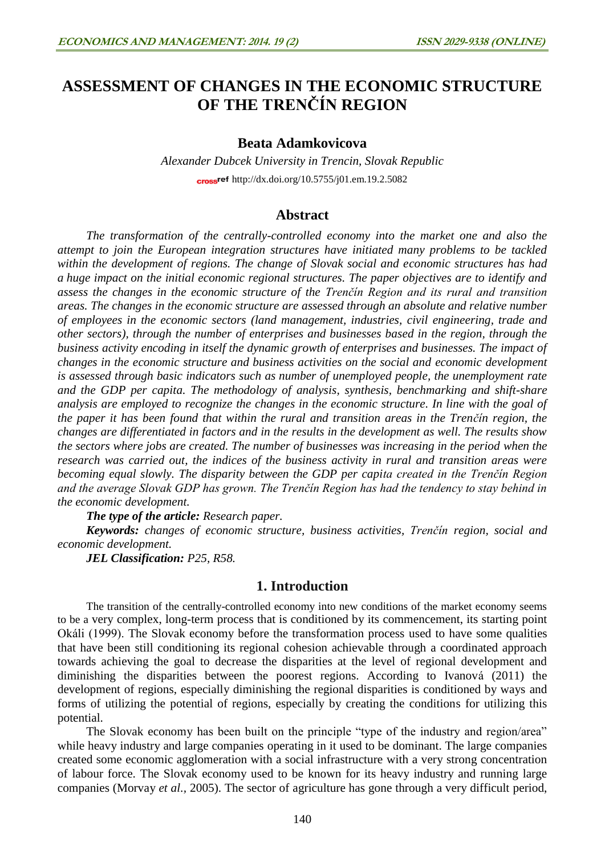# **ASSESSMENT OF CHANGES IN THE ECONOMIC STRUCTURE OF THE TRENČÍN REGION**

### **Beata Adamkovicova**

*Alexander Dubcek University in Trencin, Slovak Republic* cross<sup>ref</sup> <http://dx.doi.org/10.5755/j01.em.19.2.5082>

## **Abstract**

*The transformation of the centrally-controlled economy into the market one and also the attempt to join the European integration structures have initiated many problems to be tackled within the development of regions. The change of Slovak social and economic structures has had a huge impact on the initial economic regional structures. The paper objectives are to identify and assess the changes in the economic structure of the Trenčín Region and its rural and transition areas. The changes in the economic structure are assessed through an absolute and relative number of employees in the economic sectors (land management, industries, civil engineering, trade and other sectors), through the number of enterprises and businesses based in the region, through the business activity encoding in itself the dynamic growth of enterprises and businesses. The impact of changes in the economic structure and business activities on the social and economic development is assessed through basic indicators such as number of unemployed people, the unemployment rate and the GDP per capita. The methodology of analysis, synthesis, benchmarking and shift-share analysis are employed to recognize the changes in the economic structure. In line with the goal of the paper it has been found that within the rural and transition areas in the Trenčín region, the changes are differentiated in factors and in the results in the development as well. The results show the sectors where jobs are created. The number of businesses was increasing in the period when the research was carried out, the indices of the business activity in rural and transition areas were becoming equal slowly. The disparity between the GDP per capita created in the Trenčín Region and the average Slovak GDP has grown. The Trenčín Region has had the tendency to stay behind in the economic development.* 

*The type of the article: Research paper.*

*Keywords: changes of economic structure, business activities, Trenčín region, social and economic development.*

*JEL Classification: P25, R58.*

# **1. Introduction**

The transition of the centrally-controlled economy into new conditions of the market economy seems to be a very complex, long-term process that is conditioned by its commencement, its starting point Okáli (1999). The Slovak economy before the transformation process used to have some qualities that have been still conditioning its regional cohesion achievable through a coordinated approach towards achieving the goal to decrease the disparities at the level of regional development and diminishing the disparities between the poorest regions. According to Ivanová (2011) the development of regions, especially diminishing the regional disparities is conditioned by ways and forms of utilizing the potential of regions, especially by creating the conditions for utilizing this potential.

The Slovak economy has been built on the principle "type of the industry and region/area" while heavy industry and large companies operating in it used to be dominant. The large companies created some economic agglomeration with a social infrastructure with a very strong concentration of labour force. The Slovak economy used to be known for its heavy industry and running large companies (Morvay *et al.,* 2005). The sector of agriculture has gone through a very difficult period,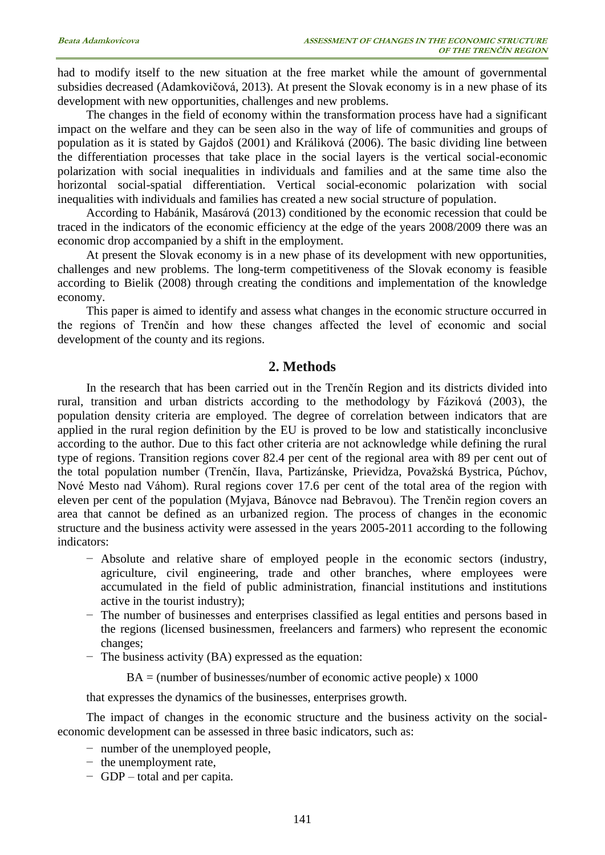had to modify itself to the new situation at the free market while the amount of governmental subsidies decreased (Adamkovičová, 2013). At present the Slovak economy is in a new phase of its development with new opportunities, challenges and new problems.

The changes in the field of economy within the transformation process have had a significant impact on the welfare and they can be seen also in the way of life of communities and groups of population as it is stated by Gajdoš (2001) and Králiková (2006). The basic dividing line between the differentiation processes that take place in the social layers is the vertical social-economic polarization with social inequalities in individuals and families and at the same time also the horizontal social-spatial differentiation. Vertical social-economic polarization with social inequalities with individuals and families has created a new social structure of population.

According to Habánik, Masárová (2013) conditioned by the economic recession that could be traced in the indicators of the economic efficiency at the edge of the years 2008/2009 there was an economic drop accompanied by a shift in the employment.

At present the Slovak economy is in a new phase of its development with new opportunities, challenges and new problems. The long-term competitiveness of the Slovak economy is feasible according to Bielik (2008) through creating the conditions and implementation of the knowledge economy.

This paper is aimed to identify and assess what changes in the economic structure occurred in the regions of Trenčín and how these changes affected the level of economic and social development of the county and its regions.

# **2. Methods**

In the research that has been carried out in the Trenčín Region and its districts divided into rural, transition and urban districts according to the methodology by Fáziková (2003), the population density criteria are employed. The degree of correlation between indicators that are applied in the rural region definition by the EU is proved to be low and statistically inconclusive according to the author. Due to this fact other criteria are not acknowledge while defining the rural type of regions. Transition regions cover 82.4 per cent of the regional area with 89 per cent out of the total population number (Trenčín, Ilava, Partizánske, Prievidza, Považská Bystrica, Púchov, Nové Mesto nad Váhom). Rural regions cover 17.6 per cent of the total area of the region with eleven per cent of the population (Myjava, Bánovce nad Bebravou). The Trenčin region covers an area that cannot be defined as an urbanized region. The process of changes in the economic structure and the business activity were assessed in the years 2005-2011 according to the following indicators:

- − Absolute and relative share of employed people in the economic sectors (industry, agriculture, civil engineering, trade and other branches, where employees were accumulated in the field of public administration, financial institutions and institutions active in the tourist industry);
- − The number of businesses and enterprises classified as legal entities and persons based in the regions (licensed businessmen, freelancers and farmers) who represent the economic changes;
- − The business activity (BA) expressed as the equation:

 $BA =$ (number of businesses/number of economic active people) x 1000

that expresses the dynamics of the businesses, enterprises growth.

The impact of changes in the economic structure and the business activity on the socialeconomic development can be assessed in three basic indicators, such as:

- − number of the unemployed people,
- − the unemployment rate,
- − GDP total and per capita.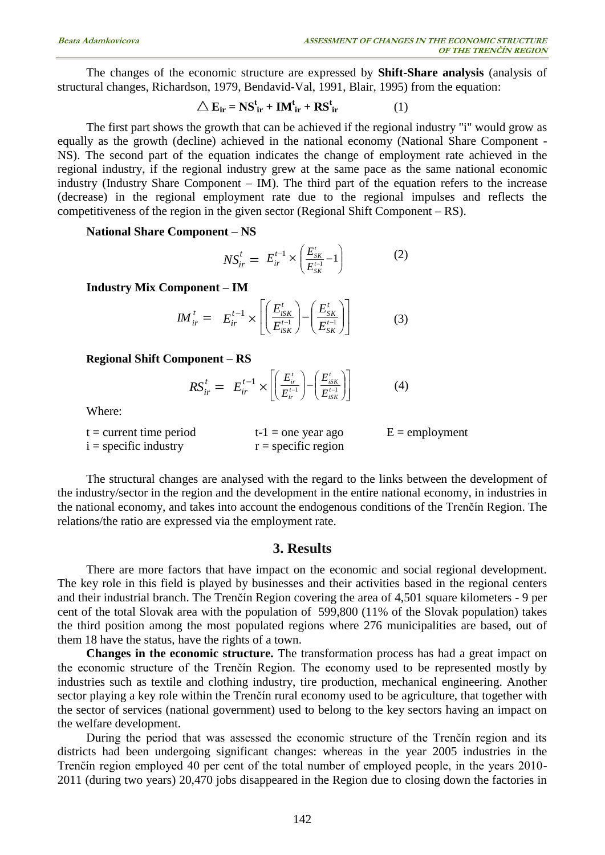The changes of the economic structure are expressed by **Shift-Share analysis** (analysis of structural changes, Richardson, 1979, Bendavid-Val, 1991, Blair, 1995) from the equation:

$$
\triangle E_{ir} = NS_{ir}^{t} + IM_{ir}^{t} + RS_{ir}^{t}
$$
 (1)

The first part shows the growth that can be achieved if the regional industry "i" would grow as equally as the growth (decline) achieved in the national economy (National Share Component - NS). The second part of the equation indicates the change of employment rate achieved in the regional industry, if the regional industry grew at the same pace as the same national economic industry (Industry Share Component – IM). The third part of the equation refers to the increase (decrease) in the regional employment rate due to the regional impulses and reflects the competitiveness of the region in the given sector (Regional Shift Component – RS).

#### **National Share Component – NS**

$$
NS_{ir}^{t} = E_{ir}^{t-1} \times \left(\frac{E_{SK}^{t}}{E_{SK}^{t-1}} - 1\right)
$$
 (2)

**Industry Mix Component – IM**

$$
I M_{ir}^t = E_{ir}^{t-1} \times \left[ \left( \frac{E_{iSK}^t}{E_{iSK}^{t-1}} \right) - \left( \frac{E_{SK}^t}{E_{SK}^{t-1}} \right) \right]
$$
(3)

#### **Regional Shift Component – RS**

$$
RS_{ir}^t = E_{ir}^{t-1} \times \left[ \left( \frac{E_{ir}^t}{E_{ir}^{t-1}} \right) - \left( \frac{E_{ISK}^t}{E_{ISK}^{t-1}} \right) \right]
$$
(4)

Where:

| $t =$ current time period | $t-1$ = one year ago  | $E =$ employment |
|---------------------------|-----------------------|------------------|
| $i =$ specific industry   | $r =$ specific region |                  |

The structural changes are analysed with the regard to the links between the development of the industry/sector in the region and the development in the entire national economy, in industries in the national economy, and takes into account the endogenous conditions of the Trenčín Region. The relations/the ratio are expressed via the employment rate.

#### **3. Results**

There are more factors that have impact on the economic and social regional development. The key role in this field is played by businesses and their activities based in the regional centers and their industrial branch. The Trenčín Region covering the area of 4,501 square kilometers - 9 per cent of the total Slovak area with the population of 599,800 (11% of the Slovak population) takes the third position among the most populated regions where 276 municipalities are based, out of them 18 have the status, have the rights of a town.

**Changes in the economic structure.** The transformation process has had a great impact on the economic structure of the Trenčín Region. The economy used to be represented mostly by industries such as textile and clothing industry, tire production, mechanical engineering. Another sector playing a key role within the Trenčín rural economy used to be agriculture, that together with the sector of services (national government) used to belong to the key sectors having an impact on the welfare development.

During the period that was assessed the economic structure of the Trenčín region and its districts had been undergoing significant changes: whereas in the year 2005 industries in the Trenčín region employed 40 per cent of the total number of employed people, in the years 2010- 2011 (during two years) 20,470 jobs disappeared in the Region due to closing down the factories in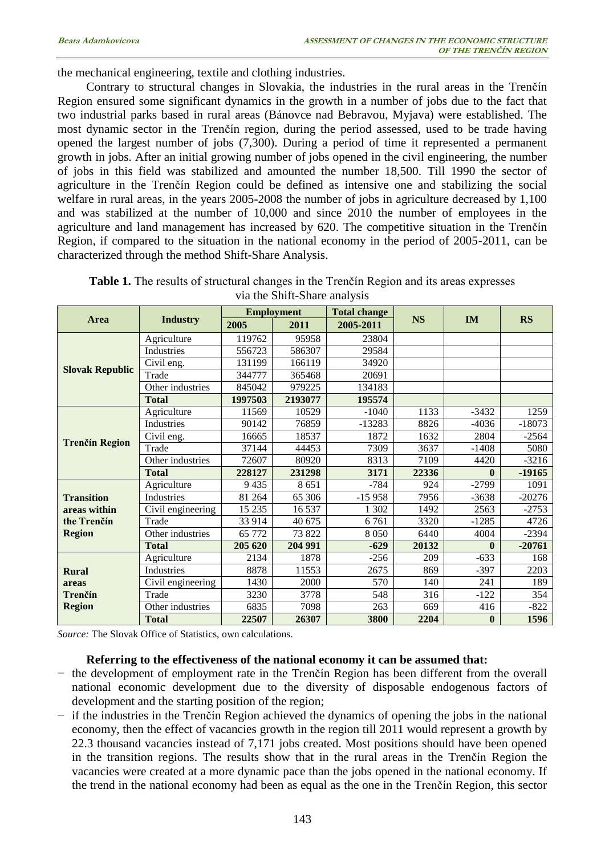the mechanical engineering, textile and clothing industries.

Contrary to structural changes in Slovakia, the industries in the rural areas in the Trenčín Region ensured some significant dynamics in the growth in a number of jobs due to the fact that two industrial parks based in rural areas (Bánovce nad Bebravou, Myjava) were established. The most dynamic sector in the Trenčín region, during the period assessed, used to be trade having opened the largest number of jobs (7,300). During a period of time it represented a permanent growth in jobs. After an initial growing number of jobs opened in the civil engineering, the number of jobs in this field was stabilized and amounted the number 18,500. Till 1990 the sector of agriculture in the Trenčín Region could be defined as intensive one and stabilizing the social welfare in rural areas, in the years 2005-2008 the number of jobs in agriculture decreased by 1,100 and was stabilized at the number of 10,000 and since 2010 the number of employees in the agriculture and land management has increased by 620. The competitive situation in the Trenčín Region, if compared to the situation in the national economy in the period of 2005-2011, can be characterized through the method Shift-Share Analysis.

|                                  | <b>Industry</b>   | <b>Employment</b> |         | <b>Total change</b> |           |              |           |
|----------------------------------|-------------------|-------------------|---------|---------------------|-----------|--------------|-----------|
| Area                             |                   | 2005              | 2011    | 2005-2011           | <b>NS</b> | <b>IM</b>    | <b>RS</b> |
|                                  | Agriculture       | 119762            | 95958   | 23804               |           |              |           |
|                                  | Industries        | 556723            | 586307  | 29584               |           |              |           |
| <b>Slovak Republic</b>           | Civil eng.        | 131199            | 166119  | 34920               |           |              |           |
|                                  | Trade             | 344777            | 365468  | 20691               |           |              |           |
|                                  | Other industries  | 845042            | 979225  | 134183              |           |              |           |
|                                  | <b>Total</b>      | 1997503           | 2193077 | 195574              |           |              |           |
|                                  | Agriculture       | 11569             | 10529   | $-1040$             | 1133      | $-3432$      | 1259      |
|                                  | Industries        | 90142             | 76859   | $-13283$            | 8826      | $-4036$      | $-18073$  |
| <b>Trenčín Region</b>            | Civil eng.        | 16665             | 18537   | 1872                | 1632      | 2804         | $-2564$   |
|                                  | Trade             | 37144             | 44453   | 7309                | 3637      | $-1408$      | 5080      |
|                                  | Other industries  | 72607             | 80920   | 8313                | 7109      | 4420         | $-3216$   |
|                                  | <b>Total</b>      | 228127            | 231298  | 3171                | 22336     | $\mathbf{0}$ | $-19165$  |
|                                  | Agriculture       | 9435              | 8651    | $-784$              | 924       | $-2799$      | 1091      |
| <b>Transition</b>                | Industries        | 81 264            | 65 30 6 | $-15958$            | 7956      | $-3638$      | $-20276$  |
| areas within                     | Civil engineering | 15 235            | 16 5 37 | 1 302               | 1492      | 2563         | $-2753$   |
| the Trenčín                      | Trade             | 33 914            | 40 675  | 6761                | 3320      | $-1285$      | 4726      |
| <b>Region</b>                    | Other industries  | 65 772            | 73 822  | 8 0 5 0             | 6440      | 4004         | $-2394$   |
|                                  | <b>Total</b>      | 205 620           | 204 991 | $-629$              | 20132     | 0            | $-20761$  |
| <b>Rural</b><br>areas<br>Trenčín | Agriculture       | 2134              | 1878    | $-256$              | 209       | $-633$       | 168       |
|                                  | Industries        | 8878              | 11553   | 2675                | 869       | $-397$       | 2203      |
|                                  | Civil engineering | 1430              | 2000    | 570                 | 140       | 241          | 189       |
|                                  | Trade             | 3230              | 3778    | 548                 | 316       | $-122$       | 354       |
| <b>Region</b>                    | Other industries  | 6835              | 7098    | 263                 | 669       | 416          | $-822$    |
|                                  | <b>Total</b>      | 22507             | 26307   | 3800                | 2204      | $\bf{0}$     | 1596      |

**Table 1.** The results of structural changes in the Trenčín Region and its areas expresses via the Shift-Share analysis

*Source:* The Slovak Office of Statistics, own calculations.

#### **Referring to the effectiveness of the national economy it can be assumed that:**

- − the development of employment rate in the Trenčín Region has been different from the overall national economic development due to the diversity of disposable endogenous factors of development and the starting position of the region;
- if the industries in the Trenčín Region achieved the dynamics of opening the jobs in the national economy, then the effect of vacancies growth in the region till 2011 would represent a growth by 22.3 thousand vacancies instead of 7,171 jobs created. Most positions should have been opened in the transition regions. The results show that in the rural areas in the Trenčín Region the vacancies were created at a more dynamic pace than the jobs opened in the national economy. If the trend in the national economy had been as equal as the one in the Trenčín Region, this sector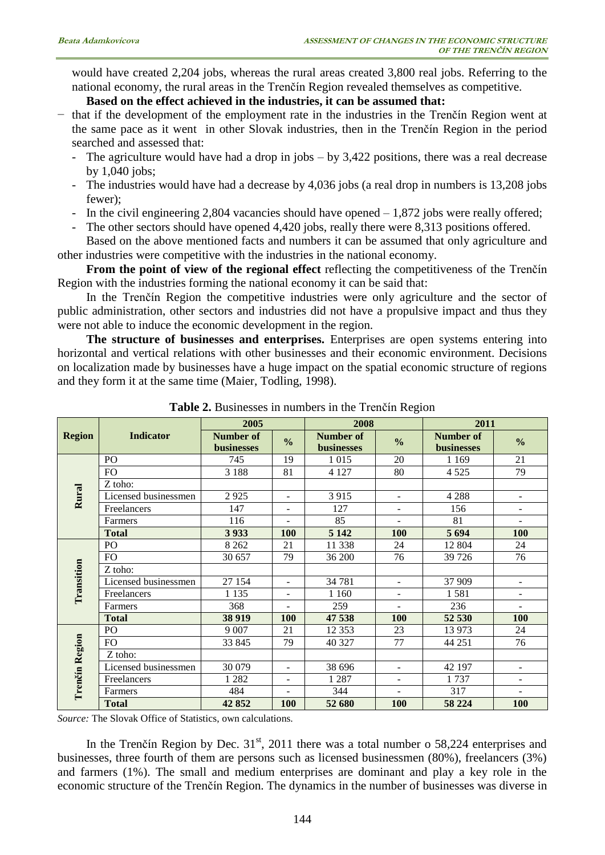would have created 2,204 jobs, whereas the rural areas created 3,800 real jobs. Referring to the national economy, the rural areas in the Trenčín Region revealed themselves as competitive.

## **Based on the effect achieved in the industries, it can be assumed that:**

- − that if the development of the employment rate in the industries in the Trenčín Region went at the same pace as it went in other Slovak industries, then in the Trenčín Region in the period searched and assessed that:
	- The agriculture would have had a drop in jobs by 3,422 positions, there was a real decrease by 1,040 jobs;
	- The industries would have had a decrease by 4,036 jobs (a real drop in numbers is 13,208 jobs fewer);
	- In the civil engineering 2,804 vacancies should have opened  $-1,872$  jobs were really offered;
	- The other sectors should have opened 4,420 jobs, really there were 8,313 positions offered.

Based on the above mentioned facts and numbers it can be assumed that only agriculture and other industries were competitive with the industries in the national economy.

**From the point of view of the regional effect** reflecting the competitiveness of the Trenčín Region with the industries forming the national economy it can be said that:

In the Trenčín Region the competitive industries were only agriculture and the sector of public administration, other sectors and industries did not have a propulsive impact and thus they were not able to induce the economic development in the region.

**The structure of businesses and enterprises.** Enterprises are open systems entering into horizontal and vertical relations with other businesses and their economic environment. Decisions on localization made by businesses have a huge impact on the spatial economic structure of regions and they form it at the same time (Maier, Todling, 1998).

|                |                      | 2005                    |                          | 2008                           |                          | 2011                           |                          |
|----------------|----------------------|-------------------------|--------------------------|--------------------------------|--------------------------|--------------------------------|--------------------------|
| <b>Region</b>  | <b>Indicator</b>     | Number of<br>businesses | $\frac{0}{0}$            | <b>Number of</b><br>businesses | $\frac{0}{0}$            | Number of<br><b>businesses</b> | $\frac{0}{0}$            |
|                | P <sub>O</sub>       | 745                     | 19                       | 1015                           | 20                       | 1 1 6 9                        | 21                       |
|                | FO.                  | 3 1 8 8                 | 81                       | 4 1 2 7                        | 80                       | 4 5 2 5                        | 79                       |
|                | Z toho:              |                         |                          |                                |                          |                                |                          |
| Rural          | Licensed businessmen | 2925                    | ۰                        | 3915                           | $\overline{\phantom{a}}$ | 4 2 8 8                        |                          |
|                | Freelancers          | 147                     | $\overline{\phantom{0}}$ | 127                            | $\overline{\phantom{a}}$ | 156                            | ۰                        |
|                | Farmers              | 116                     |                          | 85                             | $\overline{\phantom{0}}$ | 81                             | $\overline{a}$           |
|                | <b>Total</b>         | 3933                    | <b>100</b>               | 5 1 4 2                        | <b>100</b>               | 5 6 9 4                        | <b>100</b>               |
|                | PO                   | 8 2 6 2                 | 21                       | 11 338                         | 24                       | 12 804                         | 24                       |
|                | FO                   | 30 657                  | 79                       | 36 200                         | 76                       | 39 7 26                        | 76                       |
| Transition     | Z toho:              |                         |                          |                                |                          |                                |                          |
|                | Licensed businessmen | 27 154                  | $\blacksquare$           | 34 781                         | $\overline{a}$           | 37 909                         | L.                       |
|                | Freelancers          | 1 1 3 5                 | ۰                        | 1 1 6 0                        | ٠                        | 1581                           | $\overline{\phantom{a}}$ |
|                | Farmers              | 368                     | ÷.                       | 259                            | L.                       | 236                            |                          |
|                | <b>Total</b>         | 38 919                  | 100                      | 47 538                         | 100                      | 52 530                         | 100                      |
|                | PO                   | 9 0 0 7                 | 21                       | 12 3 5 3                       | 23                       | 13 973                         | 24                       |
|                | FO.                  | 33 845                  | 79                       | 40 327                         | 77                       | 44 251                         | 76                       |
|                | Z toho:              |                         |                          |                                |                          |                                |                          |
|                | Licensed businessmen | 30 079                  | $\blacksquare$           | 38 696                         | $\overline{\phantom{a}}$ | 42 197                         | $\overline{\phantom{a}}$ |
|                | Freelancers          | 1 2 8 2                 | ٠                        | 1 2 8 7                        | $\overline{\phantom{a}}$ | 1737                           | $\blacksquare$           |
| Trenčín Region | Farmers              | 484                     | $\overline{\phantom{0}}$ | 344                            | ÷,                       | 317                            |                          |
|                | <b>Total</b>         | 42852                   | <b>100</b>               | 52 680                         | <b>100</b>               | 58 224                         | <b>100</b>               |

**Table 2.** Businesses in numbers in the Trenčín Region

*Source:* The Slovak Office of Statistics, own calculations.

In the Trenčín Region by Dec.  $31<sup>st</sup>$ , 2011 there was a total number o 58,224 enterprises and businesses, three fourth of them are persons such as licensed businessmen (80%), freelancers (3%) and farmers (1%). The small and medium enterprises are dominant and play a key role in the economic structure of the Trenčín Region. The dynamics in the number of businesses was diverse in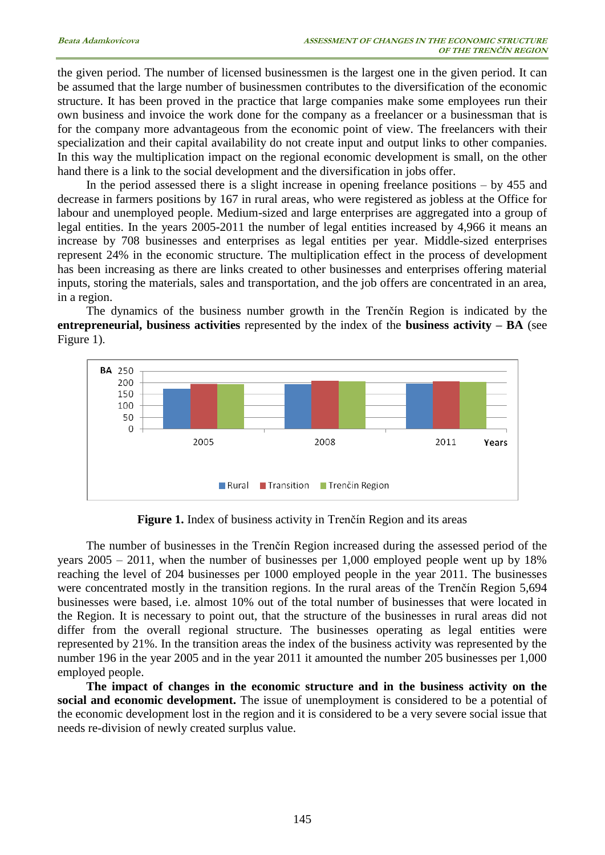the given period. The number of licensed businessmen is the largest one in the given period. It can be assumed that the large number of businessmen contributes to the diversification of the economic structure. It has been proved in the practice that large companies make some employees run their own business and invoice the work done for the company as a freelancer or a businessman that is for the company more advantageous from the economic point of view. The freelancers with their specialization and their capital availability do not create input and output links to other companies. In this way the multiplication impact on the regional economic development is small, on the other hand there is a link to the social development and the diversification in jobs offer.

In the period assessed there is a slight increase in opening freelance positions  $-$  by 455 and decrease in farmers positions by 167 in rural areas, who were registered as jobless at the Office for labour and unemployed people. Medium-sized and large enterprises are aggregated into a group of legal entities. In the years 2005-2011 the number of legal entities increased by 4,966 it means an increase by 708 businesses and enterprises as legal entities per year. Middle-sized enterprises represent 24% in the economic structure. The multiplication effect in the process of development has been increasing as there are links created to other businesses and enterprises offering material inputs, storing the materials, sales and transportation, and the job offers are concentrated in an area, in a region.

The dynamics of the business number growth in the Trenčín Region is indicated by the **entrepreneurial, business activities** represented by the index of the **business activity – BA** (see Figure 1).



**Figure 1.** Index of business activity in Trenčín Region and its areas

The number of businesses in the Trenčín Region increased during the assessed period of the years 2005 – 2011, when the number of businesses per 1,000 employed people went up by 18% reaching the level of 204 businesses per 1000 employed people in the year 2011. The businesses were concentrated mostly in the transition regions. In the rural areas of the Trenčín Region 5,694 businesses were based, i.e. almost 10% out of the total number of businesses that were located in the Region. It is necessary to point out, that the structure of the businesses in rural areas did not differ from the overall regional structure. The businesses operating as legal entities were represented by 21%. In the transition areas the index of the business activity was represented by the number 196 in the year 2005 and in the year 2011 it amounted the number 205 businesses per 1,000 employed people.

**The impact of changes in the economic structure and in the business activity on the social and economic development.** The issue of unemployment is considered to be a potential of the economic development lost in the region and it is considered to be a very severe social issue that needs re-division of newly created surplus value.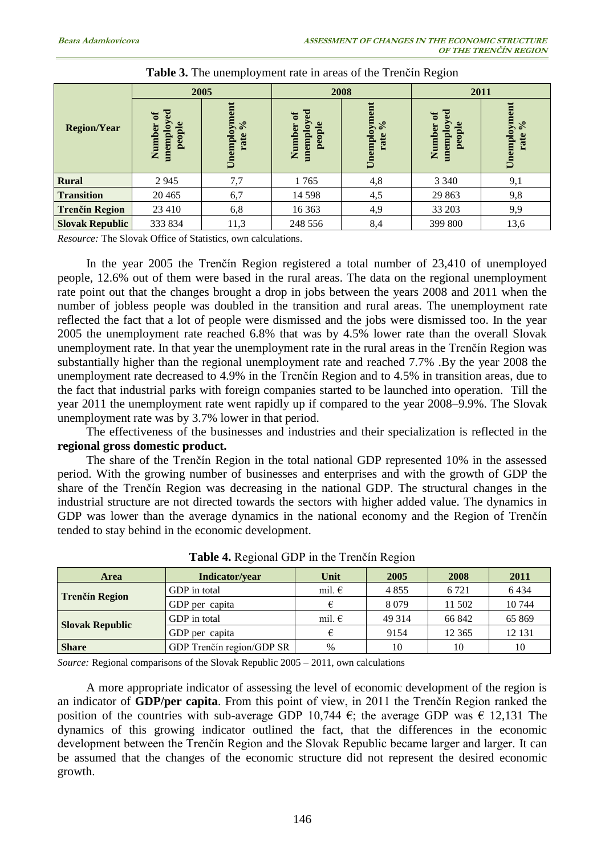| <b>Region/Year</b>     | 2005                                                     |                                                    | 2008                                    |                                    | 2011                                                      |                                    |
|------------------------|----------------------------------------------------------|----------------------------------------------------|-----------------------------------------|------------------------------------|-----------------------------------------------------------|------------------------------------|
|                        | yed<br>$\mathfrak{b}$<br>people<br>tolquaam<br>Ъ<br>Numb | Unemployment<br>$\mathcal{S}_{\mathbf{0}}$<br>rate | ್ಠ<br>ัธ<br>people<br>rolqueaun<br>Numb | Unemployment<br>$\sqrt{6}$<br>rate | $\mathbf{red}$<br>$\sigma$<br>people<br>memploy<br>Number | Unemployment<br>$\sqrt{6}$<br>rate |
| <b>Rural</b>           | 2945                                                     | 7,7                                                | 1765                                    | 4,8                                | 3 3 4 0                                                   | 9,1                                |
| <b>Transition</b>      | 20 4 65                                                  | 6,7                                                | 14 5 98                                 | 4,5                                | 29 863                                                    | 9,8                                |
| <b>Trenčín Region</b>  | 23 4 10                                                  | 6,8                                                | 16 363                                  | 4,9                                | 33 203                                                    | 9,9                                |
| <b>Slovak Republic</b> | 333 834                                                  | 11,3                                               | 248 556                                 | 8,4                                | 399 800                                                   | 13,6                               |

| <b>Table 3.</b> The unemployment rate in areas of the Trenčín Region |  |  |
|----------------------------------------------------------------------|--|--|
|----------------------------------------------------------------------|--|--|

*Resource:* The Slovak Office of Statistics, own calculations.

In the year 2005 the Trenčín Region registered a total number of 23,410 of unemployed people, 12.6% out of them were based in the rural areas. The data on the regional unemployment rate point out that the changes brought a drop in jobs between the years 2008 and 2011 when the number of jobless people was doubled in the transition and rural areas. The unemployment rate reflected the fact that a lot of people were dismissed and the jobs were dismissed too. In the year 2005 the unemployment rate reached 6.8% that was by 4.5% lower rate than the overall Slovak unemployment rate. In that year the unemployment rate in the rural areas in the Trenčín Region was substantially higher than the regional unemployment rate and reached 7.7% .By the year 2008 the unemployment rate decreased to 4.9% in the Trenčín Region and to 4.5% in transition areas, due to the fact that industrial parks with foreign companies started to be launched into operation. Till the year 2011 the unemployment rate went rapidly up if compared to the year 2008–9.9%. The Slovak unemployment rate was by 3.7% lower in that period.

The effectiveness of the businesses and industries and their specialization is reflected in the **regional gross domestic product.** 

The share of the Trenčín Region in the total national GDP represented 10% in the assessed period. With the growing number of businesses and enterprises and with the growth of GDP the share of the Trenčín Region was decreasing in the national GDP. The structural changes in the industrial structure are not directed towards the sectors with higher added value. The dynamics in GDP was lower than the average dynamics in the national economy and the Region of Trenčín tended to stay behind in the economic development.

| <b>Area</b>            | Indicator/vear            | Unit            | 2005    | 2008    | 2011    |
|------------------------|---------------------------|-----------------|---------|---------|---------|
| <b>Trenčín Region</b>  | GDP in total              | mil. $\epsilon$ | 4855    | 6 7 2 1 | 6434    |
|                        | GDP per capita            |                 | 8079    | 11 502  | 10744   |
| <b>Slovak Republic</b> | GDP in total              | mil. $\epsilon$ | 49 3 14 | 66 842  | 65 869  |
|                        | GDP per capita            |                 | 9154    | 12 3 65 | 12 13 1 |
| <b>Share</b>           | GDP Trenčín region/GDP SR | $\%$            | 10      | 10      | 10      |

**Table 4.** Regional GDP in the Trenčín Region

*Source:* Regional comparisons of the Slovak Republic 2005 – 2011, own calculations

A more appropriate indicator of assessing the level of economic development of the region is an indicator of **GDP/per capita**. From this point of view, in 2011 the Trenčín Region ranked the position of the countries with sub-average GDP 10,744  $\epsilon$ ; the average GDP was  $\epsilon$  12,131 The dynamics of this growing indicator outlined the fact, that the differences in the economic development between the Trenčín Region and the Slovak Republic became larger and larger. It can be assumed that the changes of the economic structure did not represent the desired economic growth.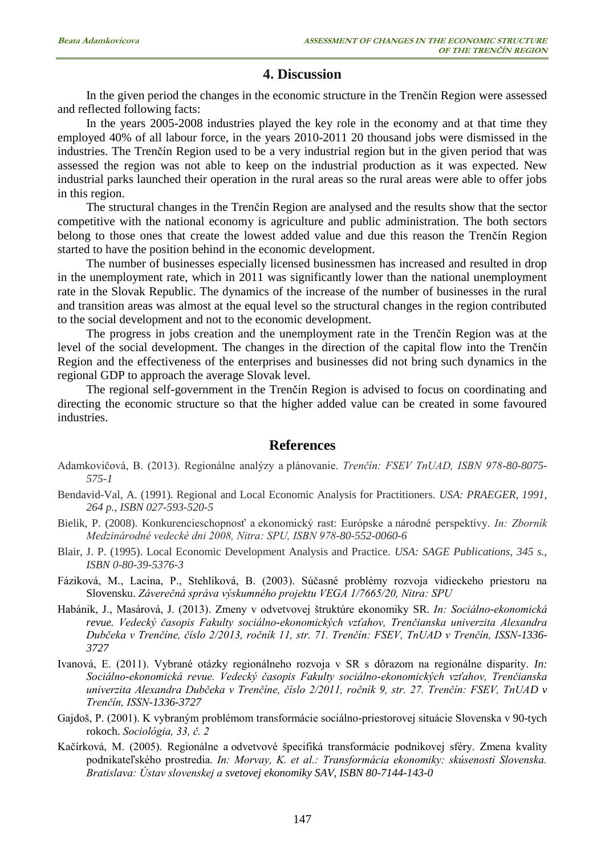# **4. Discussion**

In the given period the changes in the economic structure in the Trenčín Region were assessed and reflected following facts:

In the years 2005-2008 industries played the key role in the economy and at that time they employed 40% of all labour force, in the years 2010-2011 20 thousand jobs were dismissed in the industries. The Trenčín Region used to be a very industrial region but in the given period that was assessed the region was not able to keep on the industrial production as it was expected. New industrial parks launched their operation in the rural areas so the rural areas were able to offer jobs in this region.

The structural changes in the Trenčín Region are analysed and the results show that the sector competitive with the national economy is agriculture and public administration. The both sectors belong to those ones that create the lowest added value and due this reason the Trenčín Region started to have the position behind in the economic development.

The number of businesses especially licensed businessmen has increased and resulted in drop in the unemployment rate, which in 2011 was significantly lower than the national unemployment rate in the Slovak Republic. The dynamics of the increase of the number of businesses in the rural and transition areas was almost at the equal level so the structural changes in the region contributed to the social development and not to the economic development.

The progress in jobs creation and the unemployment rate in the Trenčín Region was at the level of the social development. The changes in the direction of the capital flow into the Trenčín Region and the effectiveness of the enterprises and businesses did not bring such dynamics in the regional GDP to approach the average Slovak level.

The regional self-government in the Trenčín Region is advised to focus on coordinating and directing the economic structure so that the higher added value can be created in some favoured industries.

### **References**

- Adamkovičová, B. (2013). Regionálne analýzy a plánovanie. *Trenčín: FSEV TnUAD, ISBN 978-80-8075- 575-1*
- Bendavid-Val, A. (1991). Regional and Local Economic Analysis for Practitioners. *USA: PRAEGER, 1991, 264 p., ISBN 027-593-520-5*
- Bielik, P. (2008). Konkurencieschopnosť a ekonomický rast: Európske a národné perspektívy. *In: Zborník Medzinárodné vedecké dni 2008, Nitra: SPU, ISBN 978-80-552-0060-6*
- Blair, J. P. (1995). Local Economic Development Analysis and Practice. *USA: SAGE Publications, 345 s., ISBN 0-80-39-5376-3*
- Fáziková, M., Lacina, P., Stehlíková, B. (2003). Súčasné problémy rozvoja vidieckeho priestoru na Slovensku. *Záverečná správa výskumného projektu VEGA 1/7665/20, Nitra: SPU*
- Habánik, J., Masárová, J. (2013). Zmeny v odvetvovej štruktúre ekonomiky SR. *In: Sociálno-ekonomická revue. Vedecký časopis Fakulty sociálno-ekonomických vzťahov, Trenčianska univerzita Alexandra Dubčeka v Trenčíne, číslo 2/2013, ročník 11, str. 71. Trenčín: FSEV, TnUAD v Trenčín, ISSN-1336- 3727*
- Ivanová, E. (2011). Vybrané otázky regionálneho rozvoja v SR s dôrazom na regionálne disparity. *In: Sociálno-ekonomická revue. Vedecký časopis Fakulty sociálno-ekonomických vzťahov, Trenčianska univerzita Alexandra Dubčeka v Trenčíne, číslo 2/2011, ročník 9, str. 27. Trenčín: FSEV, TnUAD v Trenčín, ISSN-1336-3727*
- Gajdoš, P. (2001). K vybraným problémom transformácie sociálno-priestorovej situácie Slovenska v 90-tych rokoch. *Sociológia, 33, č. 2*
- Kačírková, M. (2005). Regionálne a odvetvové špecifiká transformácie podnikovej sféry. Zmena kvality podnikateľského prostredia. *In: Morvay, K. et al.: Transformácia ekonomiky: skúsenosti Slovenska. Bratislava: Ústav slovenskej a svetovej ekonomiky SAV, ISBN 80-7144-143-0*